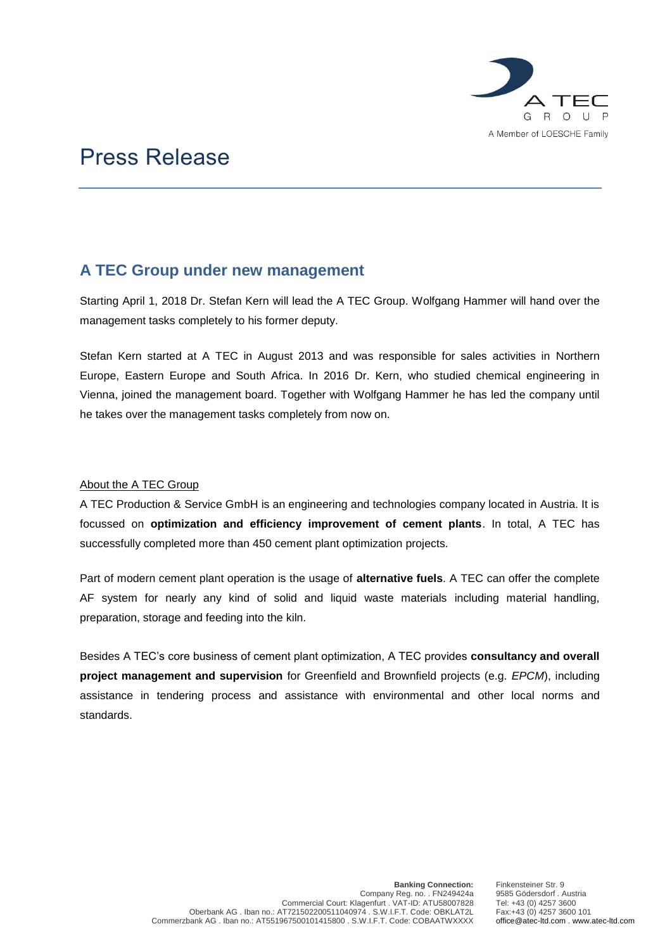

# Press Release

## **A TEC Group under new management**

Starting April 1, 2018 Dr. Stefan Kern will lead the A TEC Group. Wolfgang Hammer will hand over the management tasks completely to his former deputy.

Stefan Kern started at A TEC in August 2013 and was responsible for sales activities in Northern Europe, Eastern Europe and South Africa. In 2016 Dr. Kern, who studied chemical engineering in Vienna, joined the management board. Together with Wolfgang Hammer he has led the company until he takes over the management tasks completely from now on.

### About the A TEC Group

A TEC Production & Service GmbH is an engineering and technologies company located in Austria. It is focussed on **optimization and efficiency improvement of cement plants**. In total, A TEC has successfully completed more than 450 cement plant optimization projects.

Part of modern cement plant operation is the usage of **alternative fuels**. A TEC can offer the complete AF system for nearly any kind of solid and liquid waste materials including material handling, preparation, storage and feeding into the kiln.

Besides A TEC's core business of cement plant optimization, A TEC provides **consultancy and overall project management and supervision** for Greenfield and Brownfield projects (e.g. *EPCM*), including assistance in tendering process and assistance with environmental and other local norms and standards.